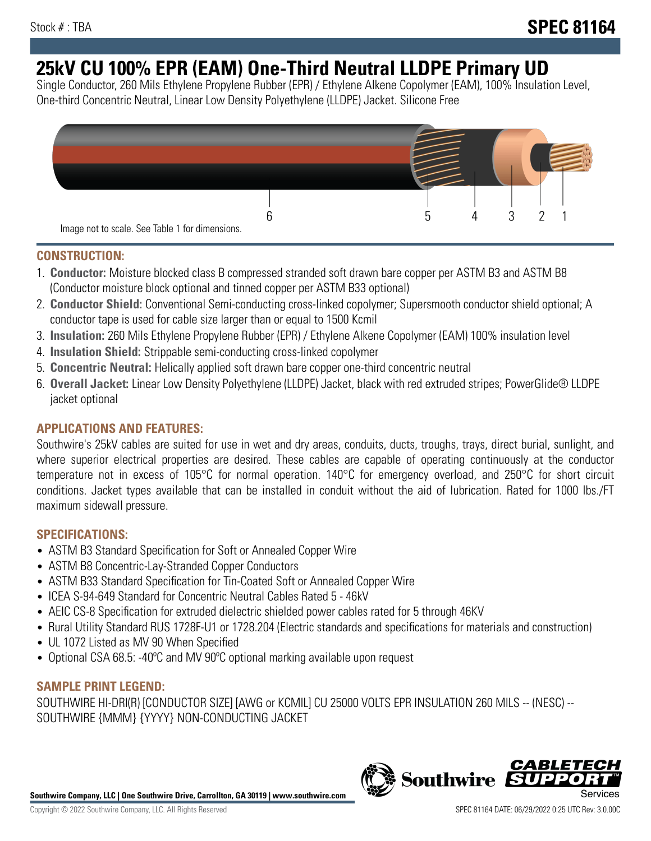# **25kV CU 100% EPR (EAM) One-Third Neutral LLDPE Primary UD**

Single Conductor, 260 Mils Ethylene Propylene Rubber (EPR) / Ethylene Alkene Copolymer (EAM), 100% Insulation Level, One-third Concentric Neutral, Linear Low Density Polyethylene (LLDPE) Jacket. Silicone Free



# **CONSTRUCTION:**

- 1. **Conductor:** Moisture blocked class B compressed stranded soft drawn bare copper per ASTM B3 and ASTM B8 (Conductor moisture block optional and tinned copper per ASTM B33 optional)
- 2. **Conductor Shield:** Conventional Semi-conducting cross-linked copolymer; Supersmooth conductor shield optional; A conductor tape is used for cable size larger than or equal to 1500 Kcmil
- 3. **Insulation:** 260 Mils Ethylene Propylene Rubber (EPR) / Ethylene Alkene Copolymer (EAM) 100% insulation level
- 4. **Insulation Shield:** Strippable semi-conducting cross-linked copolymer
- 5. **Concentric Neutral:** Helically applied soft drawn bare copper one-third concentric neutral
- 6. **Overall Jacket:** Linear Low Density Polyethylene (LLDPE) Jacket, black with red extruded stripes; PowerGlide® LLDPE jacket optional

# **APPLICATIONS AND FEATURES:**

Southwire's 25kV cables are suited for use in wet and dry areas, conduits, ducts, troughs, trays, direct burial, sunlight, and where superior electrical properties are desired. These cables are capable of operating continuously at the conductor temperature not in excess of 105°C for normal operation. 140°C for emergency overload, and 250°C for short circuit conditions. Jacket types available that can be installed in conduit without the aid of lubrication. Rated for 1000 lbs./FT maximum sidewall pressure.

## **SPECIFICATIONS:**

- ASTM B3 Standard Specification for Soft or Annealed Copper Wire
- ASTM B8 Concentric-Lay-Stranded Copper Conductors
- ASTM B33 Standard Specification for Tin-Coated Soft or Annealed Copper Wire
- ICEA S-94-649 Standard for Concentric Neutral Cables Rated 5 46kV
- AEIC CS-8 Specification for extruded dielectric shielded power cables rated for 5 through 46KV
- Rural Utility Standard RUS 1728F-U1 or 1728.204 (Electric standards and specifications for materials and construction)
- UL 1072 Listed as MV 90 When Specified
- Optional CSA 68.5: -40°C and MV 90°C optional marking available upon request

# **SAMPLE PRINT LEGEND:**

SOUTHWIRE HI-DRI(R) [CONDUCTOR SIZE] [AWG or KCMIL] CU 25000 VOLTS EPR INSULATION 260 MILS -- (NESC) -- SOUTHWIRE {MMM} {YYYY} NON-CONDUCTING JACKET

**Southwire Company, LLC | One Southwire Drive, Carrollton, GA 30119 | www.southwire.com**